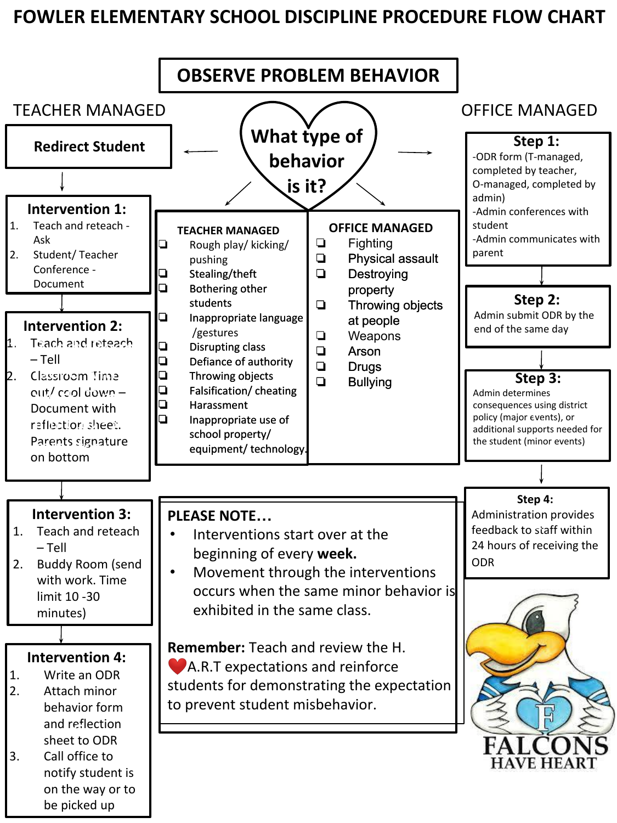## **FOWLER ELEMENTARY SCHOOL DISCIPLINE PROCEDURE FLOW CHART**